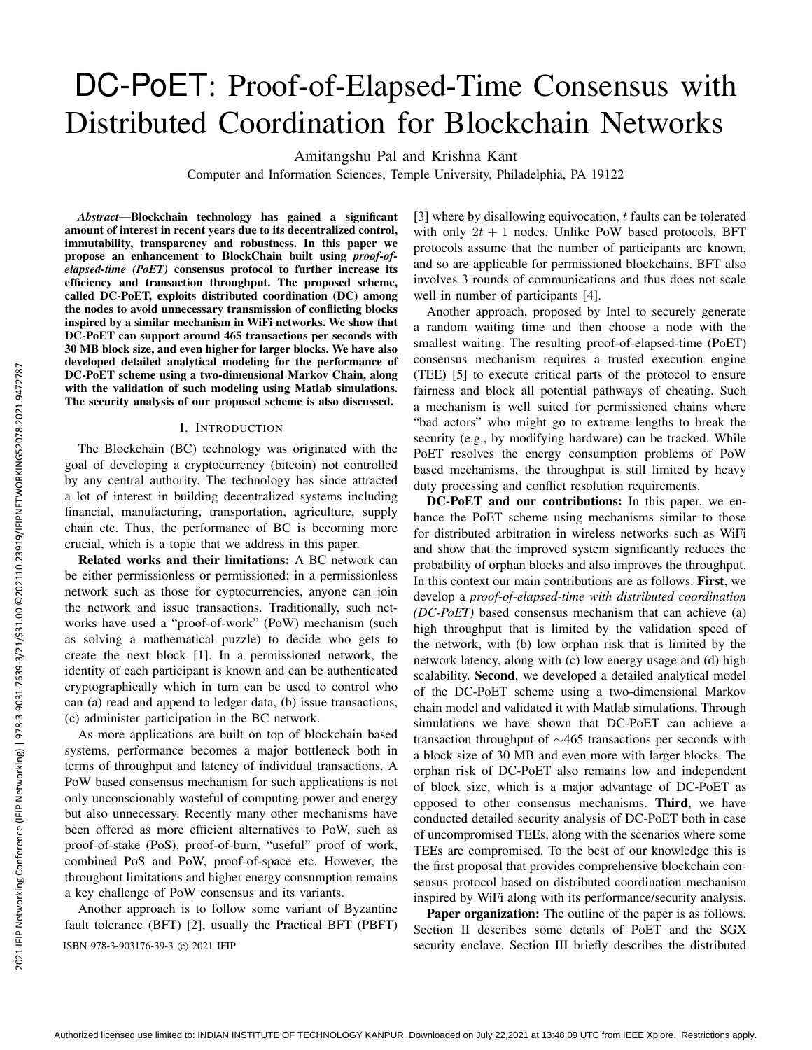# DC-PoET: Proof-of-Elapsed-Time Consensus with Distributed Coordination for Blockchain Networks

Amitangshu Pal and Krishna Kant

Computer and Information Sciences, Temple University, Philadelphia, PA 19122

*Abstract*—Blockchain technology has gained a significant amount of interest in recent years due to its decentralized control, immutability, transparency and robustness. In this paper we propose an enhancement to BlockChain built using *proof-ofelapsed-time (PoET)* consensus protocol to further increase its efficiency and transaction throughput. The proposed scheme, called DC-PoET, exploits distributed coordination (DC) among the nodes to avoid unnecessary transmission of conflicting blocks inspired by a similar mechanism in WiFi networks. We show that DC-PoET can support around 465 transactions per seconds with 30 MB block size, and even higher for larger blocks. We have also developed detailed analytical modeling for the performance of DC-PoET scheme using a two-dimensional Markov Chain, along with the validation of such modeling using Matlab simulations. The security analysis of our proposed scheme is also discussed.

## I. INTRODUCTION

The Blockchain (BC) technology was originated with the goal of developing a cryptocurrency (bitcoin) not controlled by any central authority. The technology has since attracted a lot of interest in building decentralized systems including financial, manufacturing, transportation, agriculture, supply chain etc. Thus, the performance of BC is becoming more crucial, which is a topic that we address in this paper.

Related works and their limitations: A BC network can be either permissionless or permissioned; in a permissionless network such as those for cyptocurrencies, anyone can join the network and issue transactions. Traditionally, such networks have used a "proof-of-work" (PoW) mechanism (such as solving a mathematical puzzle) to decide who gets to create the next block [1]. In a permissioned network, the identity of each participant is known and can be authenticated cryptographically which in turn can be used to control who can (a) read and append to ledger data, (b) issue transactions, (c) administer participation in the BC network.

As more applications are built on top of blockchain based systems, performance becomes a major bottleneck both in terms of throughput and latency of individual transactions. A PoW based consensus mechanism for such applications is not only unconscionably wasteful of computing power and energy but also unnecessary. Recently many other mechanisms have been offered as more efficient alternatives to PoW, such as proof-of-stake (PoS), proof-of-burn, "useful" proof of work, combined PoS and PoW, proof-of-space etc. However, the throughout limitations and higher energy consumption remains a key challenge of PoW consensus and its variants.

Another approach is to follow some variant of Byzantine fault tolerance (BFT) [2], usually the Practical BFT (PBFT) [3] where by disallowing equivocation,  $t$  faults can be tolerated with only  $2t + 1$  nodes. Unlike PoW based protocols, BFT protocols assume that the number of participants are known, and so are applicable for permissioned blockchains. BFT also involves 3 rounds of communications and thus does not scale well in number of participants [4].

Another approach, proposed by Intel to securely generate a random waiting time and then choose a node with the smallest waiting. The resulting proof-of-elapsed-time (PoET) consensus mechanism requires a trusted execution engine (TEE) [5] to execute critical parts of the protocol to ensure fairness and block all potential pathways of cheating. Such a mechanism is well suited for permissioned chains where "bad actors" who might go to extreme lengths to break the security (e.g., by modifying hardware) can be tracked. While PoET resolves the energy consumption problems of PoW based mechanisms, the throughput is still limited by heavy duty processing and conflict resolution requirements.

DC-PoET and our contributions: In this paper, we enhance the PoET scheme using mechanisms similar to those for distributed arbitration in wireless networks such as WiFi and show that the improved system significantly reduces the probability of orphan blocks and also improves the throughput. In this context our main contributions are as follows. First, we develop a *proof-of-elapsed-time with distributed coordination (DC-PoET)* based consensus mechanism that can achieve (a) high throughput that is limited by the validation speed of the network, with (b) low orphan risk that is limited by the network latency, along with (c) low energy usage and (d) high scalability. Second, we developed a detailed analytical model of the DC-PoET scheme using a two-dimensional Markov chain model and validated it with Matlab simulations. Through simulations we have shown that DC-PoET can achieve a transaction throughput of ∼465 transactions per seconds with a block size of 30 MB and even more with larger blocks. The orphan risk of DC-PoET also remains low and independent of block size, which is a major advantage of DC-PoET as opposed to other consensus mechanisms. Third, we have conducted detailed security analysis of DC-PoET both in case of uncompromised TEEs, along with the scenarios where some TEEs are compromised. To the best of our knowledge this is the first proposal that provides comprehensive blockchain consensus protocol based on distributed coordination mechanism inspired by WiFi along with its performance/security analysis.

Paper organization: The outline of the paper is as follows. Section II describes some details of PoET and the SGX ISBN 978-3-903176-39-3 c 2021 IFIP security enclave. Section III briefly describes the distributed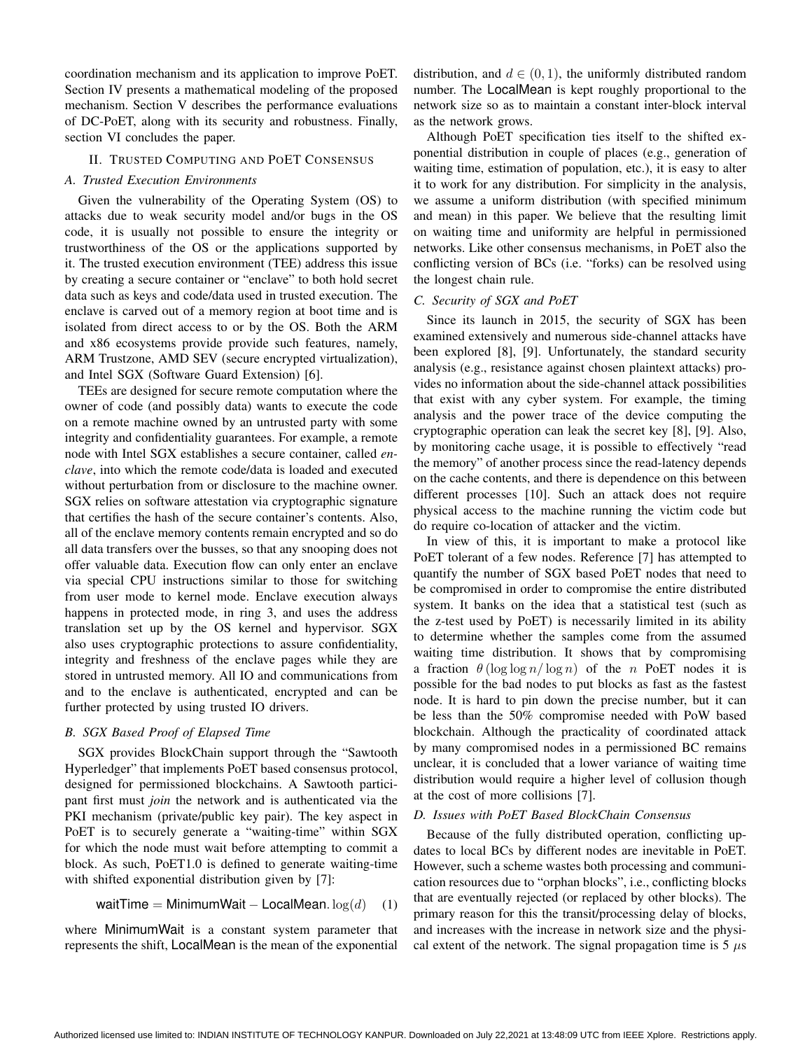coordination mechanism and its application to improve PoET. Section IV presents a mathematical modeling of the proposed mechanism. Section V describes the performance evaluations of DC-PoET, along with its security and robustness. Finally, section VI concludes the paper.

## II. TRUSTED COMPUTING AND POET CONSENSUS

## *A. Trusted Execution Environments*

Given the vulnerability of the Operating System (OS) to attacks due to weak security model and/or bugs in the OS code, it is usually not possible to ensure the integrity or trustworthiness of the OS or the applications supported by it. The trusted execution environment (TEE) address this issue by creating a secure container or "enclave" to both hold secret data such as keys and code/data used in trusted execution. The enclave is carved out of a memory region at boot time and is isolated from direct access to or by the OS. Both the ARM and x86 ecosystems provide provide such features, namely, ARM Trustzone, AMD SEV (secure encrypted virtualization), and Intel SGX (Software Guard Extension) [6].

TEEs are designed for secure remote computation where the owner of code (and possibly data) wants to execute the code on a remote machine owned by an untrusted party with some integrity and confidentiality guarantees. For example, a remote node with Intel SGX establishes a secure container, called *enclave*, into which the remote code/data is loaded and executed without perturbation from or disclosure to the machine owner. SGX relies on software attestation via cryptographic signature that certifies the hash of the secure container's contents. Also, all of the enclave memory contents remain encrypted and so do all data transfers over the busses, so that any snooping does not offer valuable data. Execution flow can only enter an enclave via special CPU instructions similar to those for switching from user mode to kernel mode. Enclave execution always happens in protected mode, in ring 3, and uses the address translation set up by the OS kernel and hypervisor. SGX also uses cryptographic protections to assure confidentiality, integrity and freshness of the enclave pages while they are stored in untrusted memory. All IO and communications from and to the enclave is authenticated, encrypted and can be further protected by using trusted IO drivers.

## *B. SGX Based Proof of Elapsed Time*

SGX provides BlockChain support through the "Sawtooth Hyperledger" that implements PoET based consensus protocol, designed for permissioned blockchains. A Sawtooth participant first must *join* the network and is authenticated via the PKI mechanism (private/public key pair). The key aspect in PoET is to securely generate a "waiting-time" within SGX for which the node must wait before attempting to commit a block. As such, PoET1.0 is defined to generate waiting-time with shifted exponential distribution given by [7]:

$$
waitTime = MinimumWait - LocalMean. log(d) \quad (1)
$$

where MinimumWait is a constant system parameter that represents the shift, LocalMean is the mean of the exponential distribution, and  $d \in (0, 1)$ , the uniformly distributed random number. The LocalMean is kept roughly proportional to the network size so as to maintain a constant inter-block interval as the network grows.

Although PoET specification ties itself to the shifted exponential distribution in couple of places (e.g., generation of waiting time, estimation of population, etc.), it is easy to alter it to work for any distribution. For simplicity in the analysis, we assume a uniform distribution (with specified minimum and mean) in this paper. We believe that the resulting limit on waiting time and uniformity are helpful in permissioned networks. Like other consensus mechanisms, in PoET also the conflicting version of BCs (i.e. "forks) can be resolved using the longest chain rule.

#### *C. Security of SGX and PoET*

Since its launch in 2015, the security of SGX has been examined extensively and numerous side-channel attacks have been explored [8], [9]. Unfortunately, the standard security analysis (e.g., resistance against chosen plaintext attacks) provides no information about the side-channel attack possibilities that exist with any cyber system. For example, the timing analysis and the power trace of the device computing the cryptographic operation can leak the secret key [8], [9]. Also, by monitoring cache usage, it is possible to effectively "read the memory" of another process since the read-latency depends on the cache contents, and there is dependence on this between different processes [10]. Such an attack does not require physical access to the machine running the victim code but do require co-location of attacker and the victim.

In view of this, it is important to make a protocol like PoET tolerant of a few nodes. Reference [7] has attempted to quantify the number of SGX based PoET nodes that need to be compromised in order to compromise the entire distributed system. It banks on the idea that a statistical test (such as the z-test used by PoET) is necessarily limited in its ability to determine whether the samples come from the assumed waiting time distribution. It shows that by compromising a fraction  $\theta$ (log log n/log n) of the n PoET nodes it is possible for the bad nodes to put blocks as fast as the fastest node. It is hard to pin down the precise number, but it can be less than the 50% compromise needed with PoW based blockchain. Although the practicality of coordinated attack by many compromised nodes in a permissioned BC remains unclear, it is concluded that a lower variance of waiting time distribution would require a higher level of collusion though at the cost of more collisions [7].

## *D. Issues with PoET Based BlockChain Consensus*

Because of the fully distributed operation, conflicting updates to local BCs by different nodes are inevitable in PoET. However, such a scheme wastes both processing and communication resources due to "orphan blocks", i.e., conflicting blocks that are eventually rejected (or replaced by other blocks). The primary reason for this the transit/processing delay of blocks, and increases with the increase in network size and the physical extent of the network. The signal propagation time is  $5 \mu s$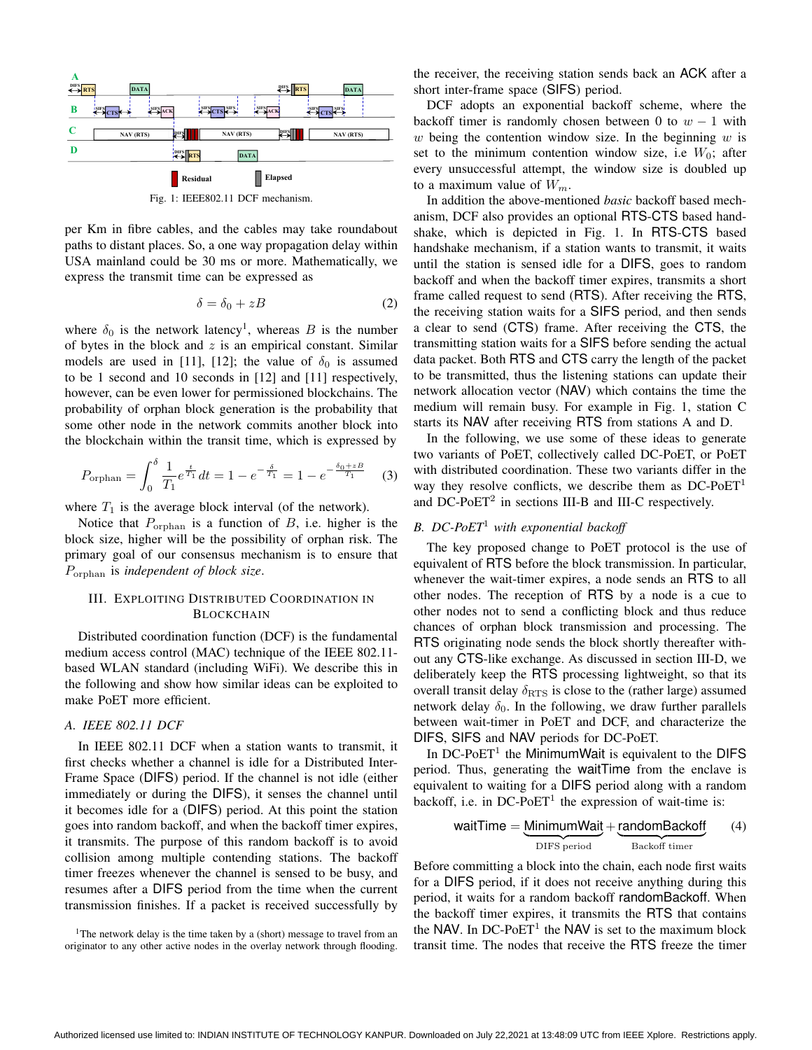

per Km in fibre cables, and the cables may take roundabout paths to distant places. So, a one way propagation delay within USA mainland could be 30 ms or more. Mathematically, we express the transmit time can be expressed as

$$
\delta = \delta_0 + zB \tag{2}
$$

where  $\delta_0$  is the network latency<sup>1</sup>, whereas B is the number of bytes in the block and  $z$  is an empirical constant. Similar models are used in [11], [12]; the value of  $\delta_0$  is assumed to be 1 second and 10 seconds in [12] and [11] respectively, however, can be even lower for permissioned blockchains. The probability of orphan block generation is the probability that some other node in the network commits another block into the blockchain within the transit time, which is expressed by

$$
P_{\text{orphan}} = \int_0^\delta \frac{1}{T_1} e^{\frac{t}{T_1}} dt = 1 - e^{-\frac{\delta}{T_1}} = 1 - e^{-\frac{\delta_0 + zB}{T_1}} \tag{3}
$$

where  $T_1$  is the average block interval (of the network).

Notice that  $P_{\text{orphan}}$  is a function of B, i.e. higher is the block size, higher will be the possibility of orphan risk. The primary goal of our consensus mechanism is to ensure that Porphan is *independent of block size*.

# III. EXPLOITING DISTRIBUTED COORDINATION IN **BLOCKCHAIN**

Distributed coordination function (DCF) is the fundamental medium access control (MAC) technique of the IEEE 802.11 based WLAN standard (including WiFi). We describe this in the following and show how similar ideas can be exploited to make PoET more efficient.

# *A. IEEE 802.11 DCF*

In IEEE 802.11 DCF when a station wants to transmit, it first checks whether a channel is idle for a Distributed Inter-Frame Space (DIFS) period. If the channel is not idle (either immediately or during the DIFS), it senses the channel until it becomes idle for a (DIFS) period. At this point the station goes into random backoff, and when the backoff timer expires, it transmits. The purpose of this random backoff is to avoid collision among multiple contending stations. The backoff timer freezes whenever the channel is sensed to be busy, and resumes after a DIFS period from the time when the current transmission finishes. If a packet is received successfully by

<sup>1</sup>The network delay is the time taken by a (short) message to travel from an originator to any other active nodes in the overlay network through flooding.

the receiver, the receiving station sends back an ACK after a short inter-frame space (SIFS) period.

DCF adopts an exponential backoff scheme, where the backoff timer is randomly chosen between 0 to  $w - 1$  with w being the contention window size. In the beginning  $w$  is set to the minimum contention window size, i.e  $W_0$ ; after every unsuccessful attempt, the window size is doubled up to a maximum value of  $W_m$ .

In addition the above-mentioned *basic* backoff based mechanism, DCF also provides an optional RTS-CTS based handshake, which is depicted in Fig. 1. In RTS-CTS based handshake mechanism, if a station wants to transmit, it waits until the station is sensed idle for a DIFS, goes to random backoff and when the backoff timer expires, transmits a short frame called request to send (RTS). After receiving the RTS, the receiving station waits for a SIFS period, and then sends a clear to send (CTS) frame. After receiving the CTS, the transmitting station waits for a SIFS before sending the actual data packet. Both RTS and CTS carry the length of the packet to be transmitted, thus the listening stations can update their network allocation vector (NAV) which contains the time the medium will remain busy. For example in Fig. 1, station C starts its NAV after receiving RTS from stations A and D.

In the following, we use some of these ideas to generate two variants of PoET, collectively called DC-PoET, or PoET with distributed coordination. These two variants differ in the way they resolve conflicts, we describe them as  $DC-PoET<sup>1</sup>$ and DC-PoET<sup>2</sup> in sections III-B and III-C respectively.

# *B. DC-PoET*<sup>1</sup> *with exponential backoff*

The key proposed change to PoET protocol is the use of equivalent of RTS before the block transmission. In particular, whenever the wait-timer expires, a node sends an RTS to all other nodes. The reception of RTS by a node is a cue to other nodes not to send a conflicting block and thus reduce chances of orphan block transmission and processing. The RTS originating node sends the block shortly thereafter without any CTS-like exchange. As discussed in section III-D, we deliberately keep the RTS processing lightweight, so that its overall transit delay  $\delta_{RTS}$  is close to the (rather large) assumed network delay  $\delta_0$ . In the following, we draw further parallels between wait-timer in PoET and DCF, and characterize the DIFS, SIFS and NAV periods for DC-PoET.

In DC-PoET<sup>1</sup> the MinimumWait is equivalent to the DIFS period. Thus, generating the waitTime from the enclave is equivalent to waiting for a DIFS period along with a random backoff, i.e. in DC-PoET<sup>1</sup> the expression of wait-time is:

$$
waitTime = \underbrace{MinimumWait}_{DIFS\ period} + \underbrace{randomBackoff}_{Backoff\ time} \tag{4}
$$

Before committing a block into the chain, each node first waits for a DIFS period, if it does not receive anything during this period, it waits for a random backoff randomBackoff. When the backoff timer expires, it transmits the RTS that contains the NAV. In DC-Po $ET<sup>1</sup>$  the NAV is set to the maximum block transit time. The nodes that receive the RTS freeze the timer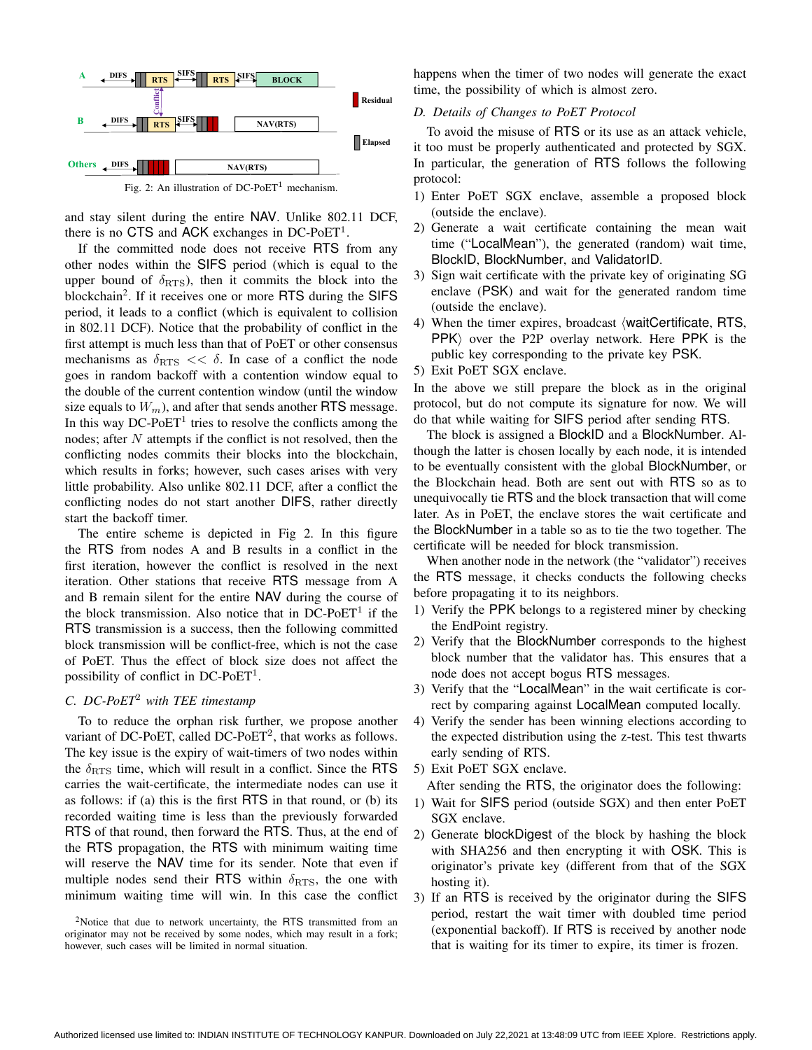

and stay silent during the entire NAV. Unlike 802.11 DCF,

there is no CTS and ACK exchanges in DC-PoET<sup>1</sup>. If the committed node does not receive RTS from any other nodes within the SIFS period (which is equal to the upper bound of  $\delta_{RTS}$ ), then it commits the block into the blockchain<sup>2</sup>. If it receives one or more RTS during the SIFS period, it leads to a conflict (which is equivalent to collision in 802.11 DCF). Notice that the probability of conflict in the first attempt is much less than that of PoET or other consensus mechanisms as  $\delta_{\text{RTS}} \ll \delta$ . In case of a conflict the node goes in random backoff with a contention window equal to the double of the current contention window (until the window size equals to  $W_m$ ), and after that sends another RTS message. In this way  $DC$ - $PoET<sup>1</sup>$  tries to resolve the conflicts among the nodes; after N attempts if the conflict is not resolved, then the conflicting nodes commits their blocks into the blockchain, which results in forks; however, such cases arises with very little probability. Also unlike 802.11 DCF, after a conflict the conflicting nodes do not start another DIFS, rather directly start the backoff timer.

The entire scheme is depicted in Fig 2. In this figure the RTS from nodes A and B results in a conflict in the first iteration, however the conflict is resolved in the next iteration. Other stations that receive RTS message from A and B remain silent for the entire NAV during the course of the block transmission. Also notice that in  $DC-PoET<sup>1</sup>$  if the RTS transmission is a success, then the following committed block transmission will be conflict-free, which is not the case of PoET. Thus the effect of block size does not affect the possibility of conflict in DC-PoET<sup>1</sup>.

# *C. DC-PoET*<sup>2</sup> *with TEE timestamp*

To to reduce the orphan risk further, we propose another variant of DC-PoET, called DC-PoET<sup>2</sup>, that works as follows. The key issue is the expiry of wait-timers of two nodes within the  $\delta_{\text{RTS}}$  time, which will result in a conflict. Since the RTS carries the wait-certificate, the intermediate nodes can use it as follows: if (a) this is the first RTS in that round, or (b) its recorded waiting time is less than the previously forwarded RTS of that round, then forward the RTS. Thus, at the end of the RTS propagation, the RTS with minimum waiting time will reserve the NAV time for its sender. Note that even if multiple nodes send their RTS within  $\delta_{RTS}$ , the one with minimum waiting time will win. In this case the conflict

<sup>2</sup>Notice that due to network uncertainty, the RTS transmitted from an originator may not be received by some nodes, which may result in a fork; however, such cases will be limited in normal situation.

happens when the timer of two nodes will generate the exact time, the possibility of which is almost zero.

# *D. Details of Changes to PoET Protocol*

To avoid the misuse of RTS or its use as an attack vehicle, it too must be properly authenticated and protected by SGX. In particular, the generation of RTS follows the following protocol:

- 1) Enter PoET SGX enclave, assemble a proposed block (outside the enclave).
- 2) Generate a wait certificate containing the mean wait time ("LocalMean"), the generated (random) wait time, BlockID, BlockNumber, and ValidatorID.
- 3) Sign wait certificate with the private key of originating SG enclave (PSK) and wait for the generated random time (outside the enclave).
- 4) When the timer expires, broadcast (waitCertificate, RTS,  $PPK$  over the P2P overlay network. Here PPK is the public key corresponding to the private key PSK.
- 5) Exit PoET SGX enclave.

In the above we still prepare the block as in the original protocol, but do not compute its signature for now. We will do that while waiting for SIFS period after sending RTS.

The block is assigned a BlockID and a BlockNumber. Although the latter is chosen locally by each node, it is intended to be eventually consistent with the global BlockNumber, or the Blockchain head. Both are sent out with RTS so as to unequivocally tie RTS and the block transaction that will come later. As in PoET, the enclave stores the wait certificate and the BlockNumber in a table so as to tie the two together. The certificate will be needed for block transmission.

When another node in the network (the "validator") receives the RTS message, it checks conducts the following checks before propagating it to its neighbors.

- 1) Verify the PPK belongs to a registered miner by checking the EndPoint registry.
- 2) Verify that the BlockNumber corresponds to the highest block number that the validator has. This ensures that a node does not accept bogus RTS messages.
- 3) Verify that the "LocalMean" in the wait certificate is correct by comparing against LocalMean computed locally.
- 4) Verify the sender has been winning elections according to the expected distribution using the z-test. This test thwarts early sending of RTS.
- 5) Exit PoET SGX enclave.
- After sending the RTS, the originator does the following:
- 1) Wait for SIFS period (outside SGX) and then enter PoET SGX enclave.
- 2) Generate blockDigest of the block by hashing the block with SHA256 and then encrypting it with OSK. This is originator's private key (different from that of the SGX hosting it).
- 3) If an RTS is received by the originator during the SIFS period, restart the wait timer with doubled time period (exponential backoff). If RTS is received by another node that is waiting for its timer to expire, its timer is frozen.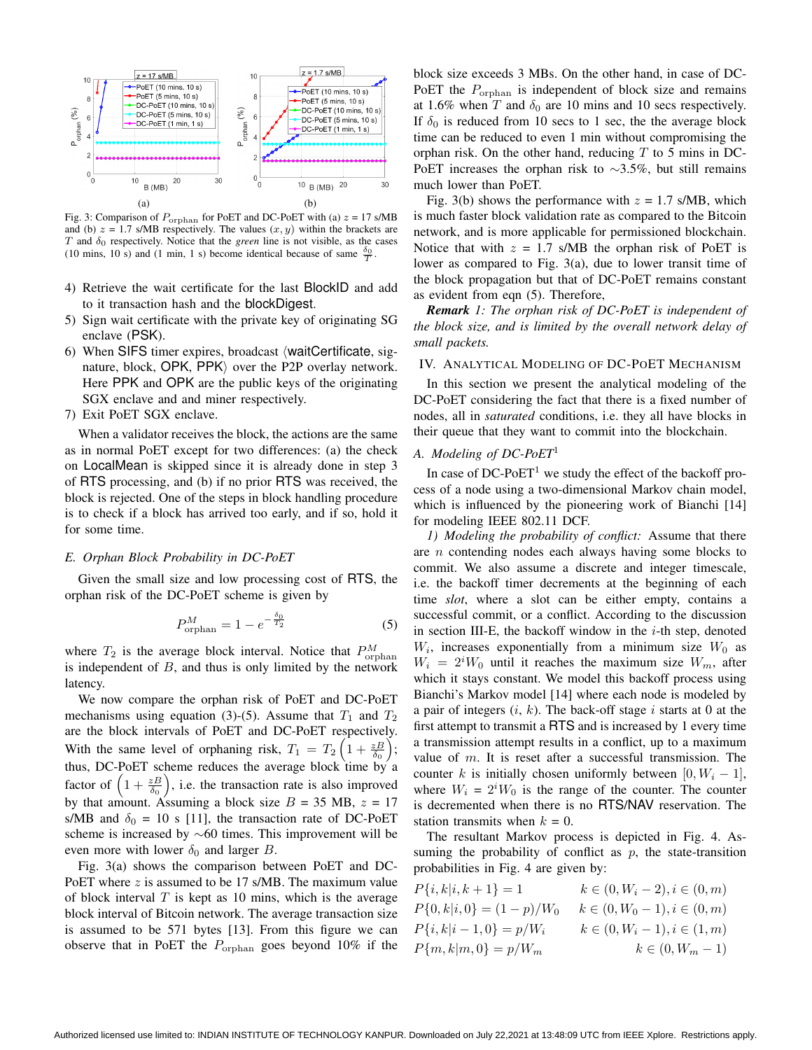

Fig. 3: Comparison of  $P_{\text{orphan}}$  for PoET and DC-PoET with (a)  $z = 17 \text{ s/MB}$ and (b)  $z = 1.7$  s/MB respectively. The values  $(x, y)$  within the brackets are T and  $\delta_0$  respectively. Notice that the *green* line is not visible, as the cases (10 mins, 10 s) and (1 min, 1 s) become identical because of same  $\frac{\delta_0}{T}$ .

- 4) Retrieve the wait certificate for the last BlockID and add to it transaction hash and the blockDigest.
- 5) Sign wait certificate with the private key of originating SG enclave (PSK).
- 6) When SIFS timer expires, broadcast  $\langle \text{waitCert}$  ificate, signature, block,  $OPK$ ,  $PPK$  over the P2P overlay network. Here PPK and OPK are the public keys of the originating SGX enclave and and miner respectively.
- 7) Exit PoET SGX enclave.

When a validator receives the block, the actions are the same as in normal PoET except for two differences: (a) the check on LocalMean is skipped since it is already done in step 3 of RTS processing, and (b) if no prior RTS was received, the block is rejected. One of the steps in block handling procedure is to check if a block has arrived too early, and if so, hold it for some time.

# *E. Orphan Block Probability in DC-PoET*

Given the small size and low processing cost of RTS, the orphan risk of the DC-PoET scheme is given by

$$
P_{\text{orphan}}^M = 1 - e^{-\frac{\delta_0}{T_2}} \tag{5}
$$

where  $T_2$  is the average block interval. Notice that  $P_{\text{orphan}}^M$ is independent of  $B$ , and thus is only limited by the network latency.

We now compare the orphan risk of PoET and DC-PoET mechanisms using equation (3)-(5). Assume that  $T_1$  and  $T_2$ are the block intervals of PoET and DC-PoET respectively. With the same level of orphaning risk,  $T_1 = T_2 \left( 1 + \frac{zB}{\delta_0} \right);$ thus, DC-PoET scheme reduces the average block time by a factor of  $\left(1+\frac{zB}{\delta_0}\right)$ , i.e. the transaction rate is also improved by that amount. Assuming a block size  $B = 35$  MB,  $z = 17$ s/MB and  $\delta_0 = 10$  s [11], the transaction rate of DC-PoET scheme is increased by ∼60 times. This improvement will be even more with lower  $\delta_0$  and larger B.

Fig. 3(a) shows the comparison between PoET and DC-PoET where  $z$  is assumed to be 17 s/MB. The maximum value of block interval  $T$  is kept as 10 mins, which is the average block interval of Bitcoin network. The average transaction size is assumed to be 571 bytes [13]. From this figure we can observe that in PoET the  $P_{\text{orphan}}$  goes beyond 10% if the block size exceeds 3 MBs. On the other hand, in case of DC-PoET the  $P_{\text{orphan}}$  is independent of block size and remains at 1.6% when T and  $\delta_0$  are 10 mins and 10 secs respectively. If  $\delta_0$  is reduced from 10 secs to 1 sec, the the average block time can be reduced to even 1 min without compromising the orphan risk. On the other hand, reducing  $T$  to 5 mins in DC-PoET increases the orphan risk to ∼3.5%, but still remains much lower than PoET.

Fig. 3(b) shows the performance with  $z = 1.7$  s/MB, which is much faster block validation rate as compared to the Bitcoin network, and is more applicable for permissioned blockchain. Notice that with  $z = 1.7$  s/MB the orphan risk of PoET is lower as compared to Fig. 3(a), due to lower transit time of the block propagation but that of DC-PoET remains constant as evident from eqn (5). Therefore,

*Remark 1: The orphan risk of DC-PoET is independent of the block size, and is limited by the overall network delay of small packets.*

## IV. ANALYTICAL MODELING OF DC-POET MECHANISM

In this section we present the analytical modeling of the DC-PoET considering the fact that there is a fixed number of nodes, all in *saturated* conditions, i.e. they all have blocks in their queue that they want to commit into the blockchain.

## *A. Modeling of DC-PoET*<sup>1</sup>

In case of  $DC$ - $PoET<sup>1</sup>$  we study the effect of the backoff process of a node using a two-dimensional Markov chain model, which is influenced by the pioneering work of Bianchi [14] for modeling IEEE 802.11 DCF.

*1) Modeling the probability of conflict:* Assume that there are  $n$  contending nodes each always having some blocks to commit. We also assume a discrete and integer timescale, i.e. the backoff timer decrements at the beginning of each time *slot*, where a slot can be either empty, contains a successful commit, or a conflict. According to the discussion in section III-E, the backoff window in the  $i$ -th step, denoted  $W_i$ , increases exponentially from a minimum size  $W_0$  as  $W_i = 2^i W_0$  until it reaches the maximum size  $W_m$ , after which it stays constant. We model this backoff process using Bianchi's Markov model [14] where each node is modeled by a pair of integers  $(i, k)$ . The back-off stage i starts at 0 at the first attempt to transmit a RTS and is increased by 1 every time a transmission attempt results in a conflict, up to a maximum value of  $m$ . It is reset after a successful transmission. The counter k is initially chosen uniformly between [0,  $W_i - 1$ ], where  $W_i = 2^i W_0$  is the range of the counter. The counter is decremented when there is no RTS/NAV reservation. The station transmits when  $k = 0$ .

The resultant Markov process is depicted in Fig. 4. Assuming the probability of conflict as  $p$ , the state-transition probabilities in Fig. 4 are given by:

$$
P\{i, k|i, k+1\} = 1 \qquad k \in (0, W_i - 2), i \in (0, m)
$$
  
\n
$$
P\{0, k|i, 0\} = (1 - p)/W_0 \qquad k \in (0, W_0 - 1), i \in (0, m)
$$
  
\n
$$
P\{i, k|i-1, 0\} = p/W_i \qquad k \in (0, W_i - 1), i \in (1, m)
$$
  
\n
$$
P\{m, k|m, 0\} = p/W_m \qquad k \in (0, W_m - 1)
$$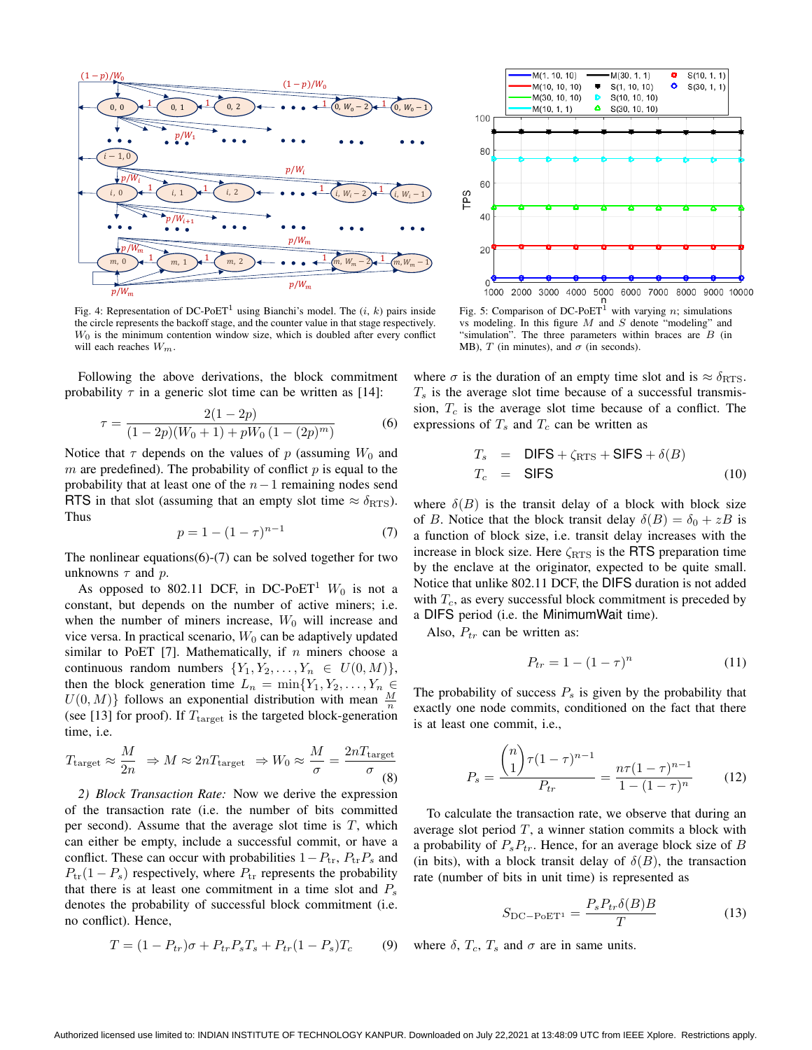

Fig. 4: Representation of DC-PoET<sup>1</sup> using Bianchi's model. The  $(i, k)$  pairs inside the circle represents the backoff stage, and the counter value in that stage respectively.  $W_0$  is the minimum contention window size, which is doubled after every conflict will each reaches  $W_m$ .

Following the above derivations, the block commitment probability  $\tau$  in a generic slot time can be written as [14]:

$$
\tau = \frac{2(1 - 2p)}{(1 - 2p)(W_0 + 1) + pW_0(1 - (2p)^m)}
$$
(6)

Notice that  $\tau$  depends on the values of p (assuming  $W_0$  and m are predefined). The probability of conflict  $p$  is equal to the probability that at least one of the  $n-1$  remaining nodes send RTS in that slot (assuming that an empty slot time  $\approx \delta_{RTS}$ ). Thus

$$
p = 1 - (1 - \tau)^{n-1} \tag{7}
$$

The nonlinear equations $(6)-(7)$  can be solved together for two unknowns  $\tau$  and  $p$ .

As opposed to 802.11 DCF, in DC-PoET<sup>1</sup>  $W_0$  is not a constant, but depends on the number of active miners; i.e. when the number of miners increase,  $W_0$  will increase and vice versa. In practical scenario,  $W_0$  can be adaptively updated similar to PoET [7]. Mathematically, if  $n$  miners choose a continuous random numbers  $\{Y_1, Y_2, \ldots, Y_n \in U(0, M)\},\$ then the block generation time  $L_n = \min\{Y_1, Y_2, \ldots, Y_n \in$  $U(0, M)$ } follows an exponential distribution with mean  $\frac{M}{n}$ (see [13] for proof). If  $T_{\text{target}}$  is the targeted block-generation time, i.e.

$$
T_{\text{target}} \approx \frac{M}{2n} \Rightarrow M \approx 2nT_{\text{target}} \Rightarrow W_0 \approx \frac{M}{\sigma} = \frac{2nT_{\text{target}}}{\sigma}
$$
(8)

*2) Block Transaction Rate:* Now we derive the expression of the transaction rate (i.e. the number of bits committed per second). Assume that the average slot time is  $T$ , which can either be empty, include a successful commit, or have a conflict. These can occur with probabilities  $1-P_{tr}$ ,  $P_{tr}P_s$  and  $P_{tr}(1 - P_s)$  respectively, where  $P_{tr}$  represents the probability that there is at least one commitment in a time slot and  $P_s$ denotes the probability of successful block commitment (i.e. no conflict). Hence,

$$
T = (1 - P_{tr})\sigma + P_{tr}P_sT_s + P_{tr}(1 - P_s)T_c \tag{9}
$$



Fig. 5: Comparison of DC-PoET<sup>1</sup> with varying n; simulations vs modeling. In this figure  $M$  and  $S$  denote "modeling" and "simulation". The three parameters within braces are  $B$  (in MB), T (in minutes), and  $\sigma$  (in seconds).

where  $\sigma$  is the duration of an empty time slot and is  $\approx \delta_{RTS}$ .  $T<sub>s</sub>$  is the average slot time because of a successful transmission,  $T_c$  is the average slot time because of a conflict. The expressions of  $T_s$  and  $T_c$  can be written as

$$
T_s = DIFS + \zeta_{RTS} + SIFS + \delta(B)
$$
  
\n
$$
T_c = SIFS
$$
 (10)

where  $\delta(B)$  is the transit delay of a block with block size of B. Notice that the block transit delay  $\delta(B) = \delta_0 + zB$  is a function of block size, i.e. transit delay increases with the increase in block size. Here  $\zeta_{RTS}$  is the RTS preparation time by the enclave at the originator, expected to be quite small. Notice that unlike 802.11 DCF, the DIFS duration is not added with  $T_c$ , as every successful block commitment is preceded by a DIFS period (i.e. the MinimumWait time).

Also,  $P_{tr}$  can be written as:

$$
P_{tr} = 1 - (1 - \tau)^n \tag{11}
$$

The probability of success  $P_s$  is given by the probability that exactly one node commits, conditioned on the fact that there is at least one commit, i.e.,

$$
P_s = \frac{{\binom{n}{1}} \tau (1 - \tau)^{n-1}}{P_{tr}} = \frac{n\tau (1 - \tau)^{n-1}}{1 - (1 - \tau)^n} \tag{12}
$$

To calculate the transaction rate, we observe that during an average slot period  $T$ , a winner station commits a block with a probability of  $P_sP_{tr}$ . Hence, for an average block size of B (in bits), with a block transit delay of  $\delta(B)$ , the transaction rate (number of bits in unit time) is represented as

$$
S_{\rm DC-PoET^1} = \frac{P_s P_{tr} \delta(B) B}{T} \tag{13}
$$

where  $\delta$ ,  $T_c$ ,  $T_s$  and  $\sigma$  are in same units.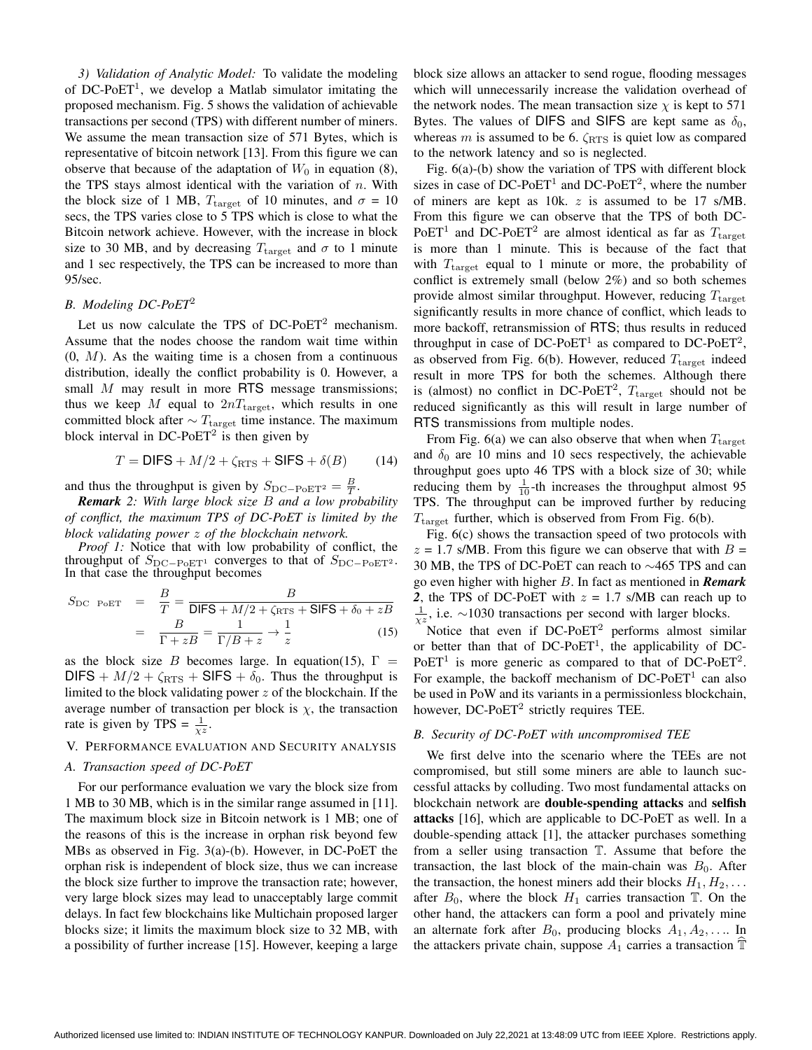*3) Validation of Analytic Model:* To validate the modeling of DC-PoET<sup>1</sup>, we develop a Matlab simulator imitating the proposed mechanism. Fig. 5 shows the validation of achievable transactions per second (TPS) with different number of miners. We assume the mean transaction size of 571 Bytes, which is representative of bitcoin network [13]. From this figure we can observe that because of the adaptation of  $W_0$  in equation (8), the TPS stays almost identical with the variation of  $n$ . With the block size of 1 MB,  $T_{\text{target}}$  of 10 minutes, and  $\sigma = 10$ secs, the TPS varies close to 5 TPS which is close to what the Bitcoin network achieve. However, with the increase in block size to 30 MB, and by decreasing  $T_{\text{target}}$  and  $\sigma$  to 1 minute and 1 sec respectively, the TPS can be increased to more than 95/sec.

## *B. Modeling DC-PoET*<sup>2</sup>

Let us now calculate the TPS of  $DC-PoET<sup>2</sup>$  mechanism. Assume that the nodes choose the random wait time within  $(0, M)$ . As the waiting time is a chosen from a continuous distribution, ideally the conflict probability is 0. However, a small M may result in more RTS message transmissions; thus we keep M equal to  $2nT_{\text{target}}$ , which results in one committed block after  $\sim T_{\text{target}}$  time instance. The maximum block interval in DC-PoET<sup>2</sup> is then given by

$$
T = \text{DIFS} + M/2 + \zeta_{\text{RTS}} + \text{SIFS} + \delta(B) \tag{14}
$$

and thus the throughput is given by  $S_{\text{DC}-\text{PoET}^2} = \frac{B}{T}$ .

*Remark 2: With large block size* B *and a low probability of conflict, the maximum TPS of DC-PoET is limited by the block validating power* z *of the blockchain network.*

*Proof 1:* Notice that with low probability of conflict, the throughput of  $S_{\text{DC}-\text{PoET}^1}$  converges to that of  $S_{\text{DC}-\text{PoET}^2}$ . In that case the throughput becomes

$$
S_{\rm DC\ PoET} = \frac{B}{T} = \frac{B}{\text{DIFS} + M/2 + \zeta_{\rm RTS} + \text{SIFS} + \delta_0 + zB}
$$

$$
= \frac{B}{\Gamma + zB} = \frac{1}{\Gamma/B + z} \to \frac{1}{z}
$$
(15)

as the block size B becomes large. In equation(15),  $\Gamma =$ DIFS +  $M/2 + \zeta_{RTS}$  + SIFS +  $\delta_0$ . Thus the throughput is limited to the block validating power  $z$  of the blockchain. If the average number of transaction per block is  $\chi$ , the transaction rate is given by TPS =  $\frac{1}{\chi z}$ .

## V. PERFORMANCE EVALUATION AND SECURITY ANALYSIS

## *A. Transaction speed of DC-PoET*

For our performance evaluation we vary the block size from 1 MB to 30 MB, which is in the similar range assumed in [11]. The maximum block size in Bitcoin network is 1 MB; one of the reasons of this is the increase in orphan risk beyond few MBs as observed in Fig. 3(a)-(b). However, in DC-PoET the orphan risk is independent of block size, thus we can increase the block size further to improve the transaction rate; however, very large block sizes may lead to unacceptably large commit delays. In fact few blockchains like Multichain proposed larger blocks size; it limits the maximum block size to 32 MB, with a possibility of further increase [15]. However, keeping a large block size allows an attacker to send rogue, flooding messages which will unnecessarily increase the validation overhead of the network nodes. The mean transaction size  $\chi$  is kept to 571 Bytes. The values of DIFS and SIFS are kept same as  $\delta_0$ , whereas m is assumed to be 6.  $\zeta_{RTS}$  is quiet low as compared to the network latency and so is neglected.

Fig. 6(a)-(b) show the variation of TPS with different block sizes in case of  $DC$ -Po $ET^1$  and  $DC$ -Po $ET^2$ , where the number of miners are kept as 10k. z is assumed to be 17 s/MB. From this figure we can observe that the TPS of both DC-PoET<sup>1</sup> and DC-PoET<sup>2</sup> are almost identical as far as  $T_{\text{target}}$ is more than 1 minute. This is because of the fact that with  $T_{\text{target}}$  equal to 1 minute or more, the probability of conflict is extremely small (below 2%) and so both schemes provide almost similar throughput. However, reducing  $T_{\text{target}}$ significantly results in more chance of conflict, which leads to more backoff, retransmission of RTS; thus results in reduced throughput in case of DC-PoET<sup>1</sup> as compared to DC-PoET<sup>2</sup>, as observed from Fig. 6(b). However, reduced  $T_{\text{target}}$  indeed result in more TPS for both the schemes. Although there is (almost) no conflict in DC-PoET<sup>2</sup>,  $T_{\text{target}}$  should not be reduced significantly as this will result in large number of RTS transmissions from multiple nodes.

From Fig. 6(a) we can also observe that when when  $T_{\text{target}}$ and  $\delta_0$  are 10 mins and 10 secs respectively, the achievable throughput goes upto 46 TPS with a block size of 30; while reducing them by  $\frac{1}{10}$ -th increases the throughput almost 95 TPS. The throughput can be improved further by reducing  $T_{\text{target}}$  further, which is observed from From Fig. 6(b).

Fig. 6(c) shows the transaction speed of two protocols with  $z = 1.7$  s/MB. From this figure we can observe that with  $B =$ 30 MB, the TPS of DC-PoET can reach to ∼465 TPS and can go even higher with higher B. In fact as mentioned in *Remark* 2, the TPS of DC-PoET with  $z = 1.7$  s/MB can reach up to  $\frac{1}{x^2}$ , i.e. ∼1030 transactions per second with larger blocks.

Notice that even if DC-PoET<sup>2</sup> performs almost similar or better than that of DC-PoET<sup>1</sup>, the applicability of DC- $PoET<sup>1</sup>$  is more generic as compared to that of DC-PoET<sup>2</sup>. For example, the backoff mechanism of  $DC-PoET<sup>1</sup>$  can also be used in PoW and its variants in a permissionless blockchain, however,  $DC$ - $PoET<sup>2</sup>$  strictly requires TEE.

## *B. Security of DC-PoET with uncompromised TEE*

We first delve into the scenario where the TEEs are not compromised, but still some miners are able to launch successful attacks by colluding. Two most fundamental attacks on blockchain network are double-spending attacks and selfish attacks [16], which are applicable to DC-PoET as well. In a double-spending attack [1], the attacker purchases something from a seller using transaction T. Assume that before the transaction, the last block of the main-chain was  $B_0$ . After the transaction, the honest miners add their blocks  $H_1, H_2, \ldots$ after  $B_0$ , where the block  $H_1$  carries transaction  $\mathbb T$ . On the other hand, the attackers can form a pool and privately mine an alternate fork after  $B_0$ , producing blocks  $A_1, A_2, \ldots$  In the attackers private chain, suppose  $A_1$  carries a transaction  $\mathbb T$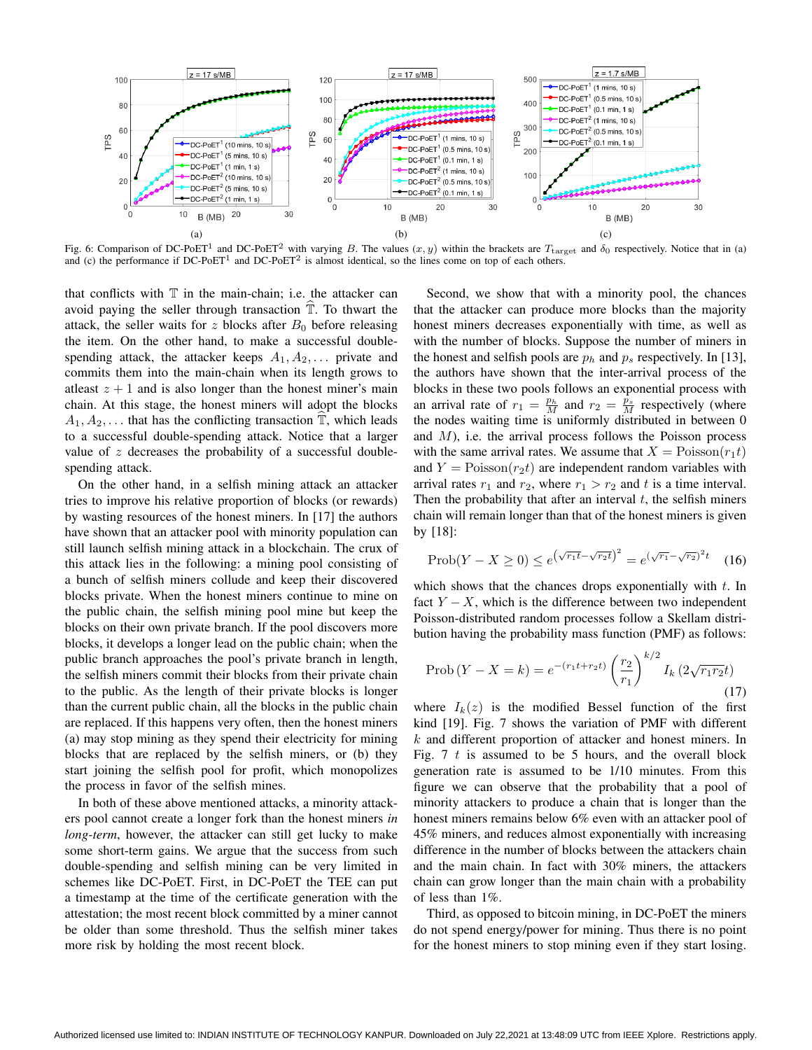

Fig. 6: Comparison of DC-PoET<sup>1</sup> and DC-PoET<sup>2</sup> with varying B. The values  $(x, y)$  within the brackets are  $T_{\text{target}}$  and  $\delta_0$  respectively. Notice that in (a) and (c) the performance if DC-PoET<sup>1</sup> and DC-PoET<sup>2</sup> is almost identical, so the lines come on top of each others.

that conflicts with  $T$  in the main-chain; i.e. the attacker can avoid paying the seller through transaction  $\mathbb T$ . To thwart the attack, the seller waits for z blocks after  $B_0$  before releasing the item. On the other hand, to make a successful doublespending attack, the attacker keeps  $A_1, A_2, \ldots$  private and commits them into the main-chain when its length grows to at least  $z + 1$  and is also longer than the honest miner's main chain. At this stage, the honest miners will adopt the blocks  $A_1, A_2, \ldots$  that has the conflicting transaction  $\mathbb{T}$ , which leads to a successful double-spending attack. Notice that a larger value of  $z$  decreases the probability of a successful doublespending attack.

On the other hand, in a selfish mining attack an attacker tries to improve his relative proportion of blocks (or rewards) by wasting resources of the honest miners. In [17] the authors have shown that an attacker pool with minority population can still launch selfish mining attack in a blockchain. The crux of this attack lies in the following: a mining pool consisting of a bunch of selfish miners collude and keep their discovered blocks private. When the honest miners continue to mine on the public chain, the selfish mining pool mine but keep the blocks on their own private branch. If the pool discovers more blocks, it develops a longer lead on the public chain; when the public branch approaches the pool's private branch in length, the selfish miners commit their blocks from their private chain to the public. As the length of their private blocks is longer than the current public chain, all the blocks in the public chain are replaced. If this happens very often, then the honest miners (a) may stop mining as they spend their electricity for mining blocks that are replaced by the selfish miners, or (b) they start joining the selfish pool for profit, which monopolizes the process in favor of the selfish mines.

In both of these above mentioned attacks, a minority attackers pool cannot create a longer fork than the honest miners *in long-term*, however, the attacker can still get lucky to make some short-term gains. We argue that the success from such double-spending and selfish mining can be very limited in schemes like DC-PoET. First, in DC-PoET the TEE can put a timestamp at the time of the certificate generation with the attestation; the most recent block committed by a miner cannot be older than some threshold. Thus the selfish miner takes more risk by holding the most recent block.

Second, we show that with a minority pool, the chances that the attacker can produce more blocks than the majority honest miners decreases exponentially with time, as well as with the number of blocks. Suppose the number of miners in the honest and selfish pools are  $p_h$  and  $p_s$  respectively. In [13], the authors have shown that the inter-arrival process of the blocks in these two pools follows an exponential process with an arrival rate of  $r_1 = \frac{p_h}{M}$  and  $r_2 = \frac{\bar{p}_s}{M}$  respectively (where the nodes waiting time is uniformly distributed in between 0 and  $M$ ), i.e. the arrival process follows the Poisson process with the same arrival rates. We assume that  $X = \text{Poisson}(r_1t)$ and  $Y = \text{Poisson}(r_2t)$  are independent random variables with arrival rates  $r_1$  and  $r_2$ , where  $r_1 > r_2$  and t is a time interval. Then the probability that after an interval  $t$ , the selfish miners chain will remain longer than that of the honest miners is given by [18]:

$$
\text{Prob}(Y - X \ge 0) \le e^{\left(\sqrt{r_1 t} - \sqrt{r_2 t}\right)^2} = e^{\left(\sqrt{r_1} - \sqrt{r_2}\right)^2 t} \quad (16)
$$

which shows that the chances drops exponentially with  $t$ . In fact  $Y - X$ , which is the difference between two independent Poisson-distributed random processes follow a Skellam distribution having the probability mass function (PMF) as follows:

$$
\text{Prob}\left(Y - X = k\right) = e^{-\left(r_1 t + r_2 t\right)} \left(\frac{r_2}{r_1}\right)^{k/2} I_k\left(2\sqrt{r_1 r_2} t\right) \tag{17}
$$

where  $I_k(z)$  is the modified Bessel function of the first kind [19]. Fig. 7 shows the variation of PMF with different  $k$  and different proportion of attacker and honest miners. In Fig. 7 t is assumed to be 5 hours, and the overall block generation rate is assumed to be 1/10 minutes. From this figure we can observe that the probability that a pool of minority attackers to produce a chain that is longer than the honest miners remains below 6% even with an attacker pool of 45% miners, and reduces almost exponentially with increasing difference in the number of blocks between the attackers chain and the main chain. In fact with 30% miners, the attackers chain can grow longer than the main chain with a probability of less than 1%.

Third, as opposed to bitcoin mining, in DC-PoET the miners do not spend energy/power for mining. Thus there is no point for the honest miners to stop mining even if they start losing.